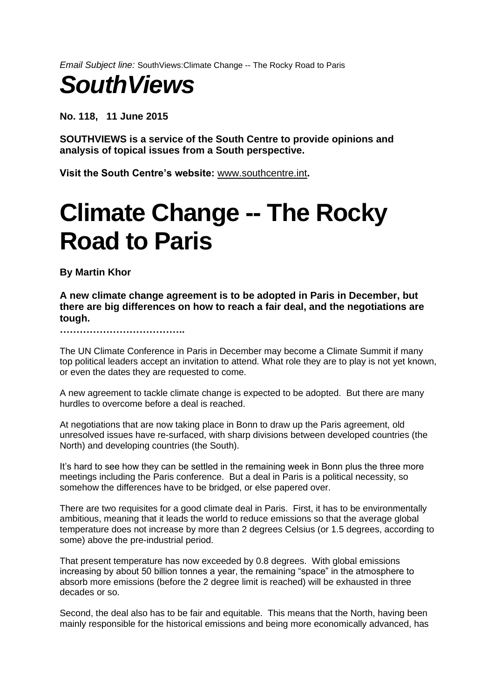*Email Subject line:* SouthViews:Climate Change -- The Rocky Road to Paris

## *SouthViews*

**No. 118, 11 June 2015**

**SOUTHVIEWS is a service of the South Centre to provide opinions and analysis of topical issues from a South perspective.**

**Visit the South Centre's website:** [www.southcentre.int](http://www.southcentre.org/)**.**

## **Climate Change -- The Rocky Road to Paris**

**By Martin Khor**

**A new climate change agreement is to be adopted in Paris in December, but there are big differences on how to reach a fair deal, and the negotiations are tough.** 

**………………………………..**

The UN Climate Conference in Paris in December may become a Climate Summit if many top political leaders accept an invitation to attend. What role they are to play is not yet known, or even the dates they are requested to come.

A new agreement to tackle climate change is expected to be adopted. But there are many hurdles to overcome before a deal is reached.

At negotiations that are now taking place in Bonn to draw up the Paris agreement, old unresolved issues have re-surfaced, with sharp divisions between developed countries (the North) and developing countries (the South).

It's hard to see how they can be settled in the remaining week in Bonn plus the three more meetings including the Paris conference. But a deal in Paris is a political necessity, so somehow the differences have to be bridged, or else papered over.

There are two requisites for a good climate deal in Paris. First, it has to be environmentally ambitious, meaning that it leads the world to reduce emissions so that the average global temperature does not increase by more than 2 degrees Celsius (or 1.5 degrees, according to some) above the pre-industrial period.

That present temperature has now exceeded by 0.8 degrees. With global emissions increasing by about 50 billion tonnes a year, the remaining "space" in the atmosphere to absorb more emissions (before the 2 degree limit is reached) will be exhausted in three decades or so.

Second, the deal also has to be fair and equitable. This means that the North, having been mainly responsible for the historical emissions and being more economically advanced, has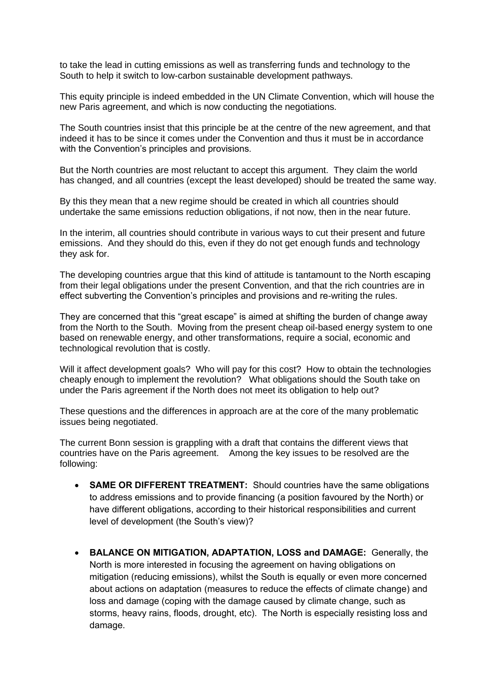to take the lead in cutting emissions as well as transferring funds and technology to the South to help it switch to low-carbon sustainable development pathways.

This equity principle is indeed embedded in the UN Climate Convention, which will house the new Paris agreement, and which is now conducting the negotiations.

The South countries insist that this principle be at the centre of the new agreement, and that indeed it has to be since it comes under the Convention and thus it must be in accordance with the Convention's principles and provisions.

But the North countries are most reluctant to accept this argument. They claim the world has changed, and all countries (except the least developed) should be treated the same way.

By this they mean that a new regime should be created in which all countries should undertake the same emissions reduction obligations, if not now, then in the near future.

In the interim, all countries should contribute in various ways to cut their present and future emissions. And they should do this, even if they do not get enough funds and technology they ask for.

The developing countries argue that this kind of attitude is tantamount to the North escaping from their legal obligations under the present Convention, and that the rich countries are in effect subverting the Convention's principles and provisions and re-writing the rules.

They are concerned that this "great escape" is aimed at shifting the burden of change away from the North to the South. Moving from the present cheap oil-based energy system to one based on renewable energy, and other transformations, require a social, economic and technological revolution that is costly.

Will it affect development goals? Who will pay for this cost? How to obtain the technologies cheaply enough to implement the revolution? What obligations should the South take on under the Paris agreement if the North does not meet its obligation to help out?

These questions and the differences in approach are at the core of the many problematic issues being negotiated.

The current Bonn session is grappling with a draft that contains the different views that countries have on the Paris agreement. Among the key issues to be resolved are the following:

- **SAME OR DIFFERENT TREATMENT:** Should countries have the same obligations to address emissions and to provide financing (a position favoured by the North) or have different obligations, according to their historical responsibilities and current level of development (the South's view)?
- **BALANCE ON MITIGATION, ADAPTATION, LOSS and DAMAGE:** Generally, the North is more interested in focusing the agreement on having obligations on mitigation (reducing emissions), whilst the South is equally or even more concerned about actions on adaptation (measures to reduce the effects of climate change) and loss and damage (coping with the damage caused by climate change, such as storms, heavy rains, floods, drought, etc). The North is especially resisting loss and damage.